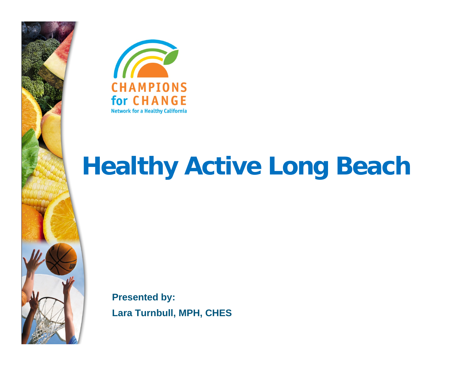



**Presented by: Lara Turnbull, MPH, CHES**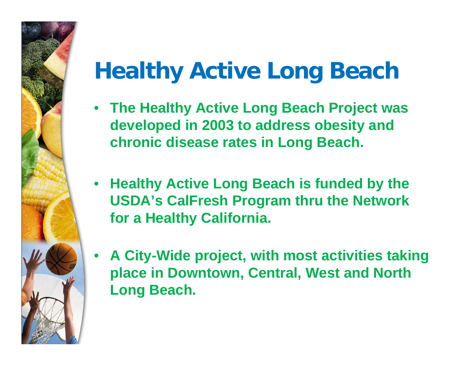- **The Healthy Active Long Beach Project was developed in 2003 to address obesity and chronic disease rates in Long Beach.**
- **Healthy Active Long Beach is funded by the USDA's CalFresh Program thru the Network for a Healthy California.**
- • **A City-Wide project, with most activities taking place in Downtown, Central, West and North Long Beach.**

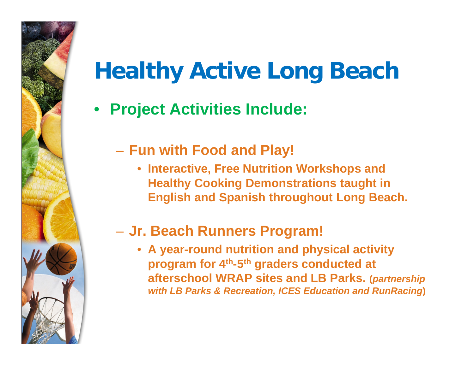• **Project Activities Include:**

#### **Fun with Food and Play!**

• **Interactive, Free Nutrition Workshops and Healthy Cooking Demonstrations taught in English and Spanish throughout Long Beach.** 

#### **Jr. Beach Runners Program!**

• **A year-round nutrition and physical activity program for 4th-5th graders conducted at afterschool WRAP sites and LB Parks. (***partnership with LB Parks & Recreation, ICES Education and RunRacing***)**

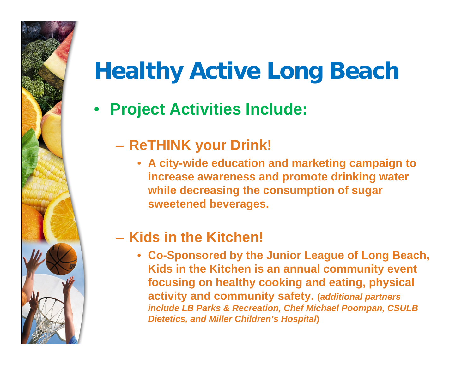• **Project Activities Include:**

#### **ReTHINK your Drink!**

• **A city-wide education and marketing campaign to increase awareness and promote drinking water while decreasing the consumption of sugar sweetened beverages.** 

#### – **Kids in the Kitchen!**

• **Co-Sponsored by the Junior League of Long Beach, Kids in the Kitchen is an annual community event focusing on healthy cooking and eating, physical activity and community safety. (***additional partners include LB Parks & Recreation, Chef Michael Poompan, CSULB Dietetics, and Miller Children's Hospital***)**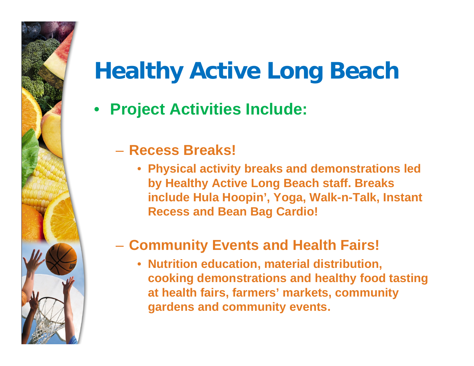• **Project Activities Include:**

#### – **Recess Breaks!**

• **Physical activity breaks and demonstrations led by Healthy Active Long Beach staff. Breaks include Hula Hoopin', Yoga, Walk-n-Talk, Instant Recess and Bean Bag Cardio!**

#### **Community Events and Health Fairs!**

• **Nutrition education, material distribution, cooking demonstrations and healthy food tasting at health fairs, farmers' markets, community gardens and community events.**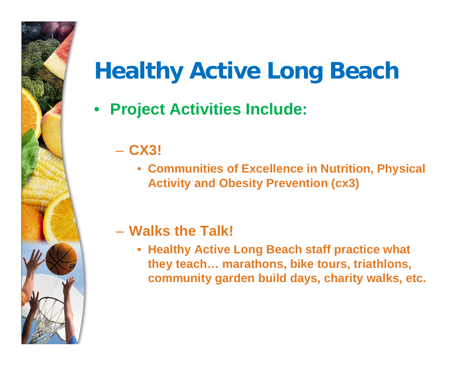• **Project Activities Include:**

## – **CX3!**

• **Communities of Excellence in Nutrition, Physical Activity and Obesity Prevention (cx3)**

#### – **Walks the Talk!**

• **Healthy Active Long Beach staff practice what they teach… marathons, bike tours, triathlons, community garden build days, charity walks, etc.**

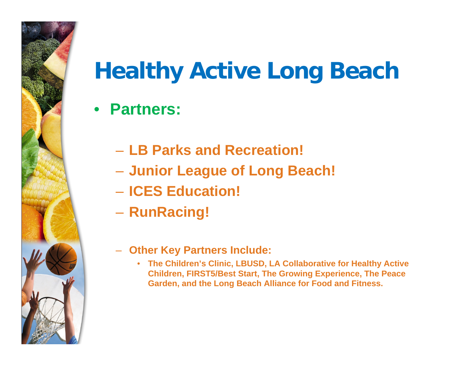### • **Partners:**

- **LB Parks and Recreation!**
- **Junior League of Long Beach!**
- **ICES Education!**
- **RunRacing!**
- – **Other Key Partners Include:**
	- **The Children's Clinic, LBUSD, LA Collaborative for Healthy Active Children, FIRST5/Best Start, The Growing Experience, The Peace Garden, and the Long Beach Alliance for Food and Fitness.**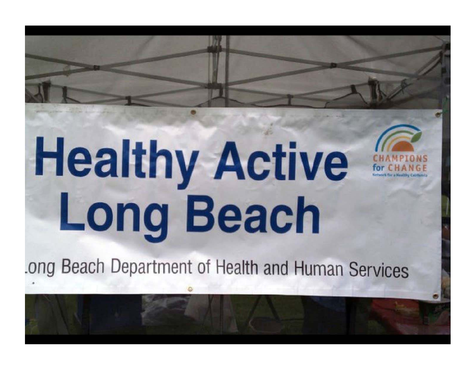ong Beach Department of Health and Human Services